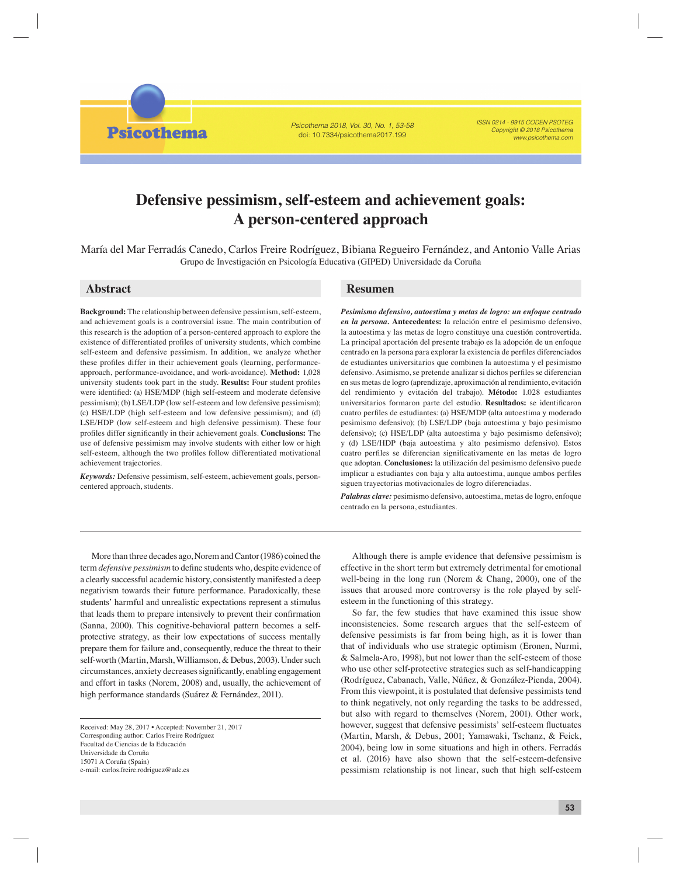Psicothema 2018, Vol. 30, No. 1, 53-58 doi: 10.7334/psicothema2017.199

ISSN 0214 - 9915 CODEN PSOTEG Copyright © 2018 Psicothema www.psicothema.com

# **Defensive pessimism, self-esteem and achievement goals: A person-centered approach**

María del Mar Ferradás Canedo, Carlos Freire Rodríguez, Bibiana Regueiro Fernández, and Antonio Valle Arias Grupo de Investigación en Psicología Educativa (GIPED) Universidade da Coruña

**Psicothema** 

**Background:** The relationship between defensive pessimism, self-esteem, and achievement goals is a controversial issue. The main contribution of this research is the adoption of a person-centered approach to explore the existence of differentiated profiles of university students, which combine self-esteem and defensive pessimism. In addition, we analyze whether these profiles differ in their achievement goals (learning, performanceapproach, performance-avoidance, and work-avoidance). **Method:** 1,028 university students took part in the study. **Results:** Four student profiles were identified: (a) HSE/MDP (high self-esteem and moderate defensive pessimism); (b) LSE/LDP (low self-esteem and low defensive pessimism); (c) HSE/LDP (high self-esteem and low defensive pessimism); and (d) LSE/HDP (low self-esteem and high defensive pessimism). These four profiles differ significantly in their achievement goals. **Conclusions:** The use of defensive pessimism may involve students with either low or high self-esteem, although the two profiles follow differentiated motivational achievement trajectories.

*Keywords:* Defensive pessimism, self-esteem, achievement goals, personcentered approach, students.

## **Abstract Resumen**

*Pesimismo defensivo, autoestima y metas de logro: un enfoque centrado en la persona.* **Antecedentes:** la relación entre el pesimismo defensivo, la autoestima y las metas de logro constituye una cuestión controvertida. La principal aportación del presente trabajo es la adopción de un enfoque centrado en la persona para explorar la existencia de perfiles diferenciados de estudiantes universitarios que combinen la autoestima y el pesimismo defensivo. Asimismo, se pretende analizar si dichos perfiles se diferencian en sus metas de logro (aprendizaje, aproximación al rendimiento, evitación del rendimiento y evitación del trabajo). **Método:** 1.028 estudiantes universitarios formaron parte del estudio. Resultados: se identificaron cuatro perfiles de estudiantes: (a) HSE/MDP (alta autoestima y moderado pesimismo defensivo); (b) LSE/LDP (baja autoestima y bajo pesimismo defensivo); (c) HSE/LDP (alta autoestima y bajo pesimismo defensivo); y (d) LSE/HDP (baja autoestima y alto pesimismo defensivo). Estos cuatro perfiles se diferencian significativamente en las metas de logro que adoptan. **Conclusiones:** la utilización del pesimismo defensivo puede implicar a estudiantes con baja y alta autoestima, aunque ambos perfiles siguen trayectorias motivacionales de logro diferenciadas.

*Palabras clave:* pesimismo defensivo, autoestima, metas de logro, enfoque centrado en la persona, estudiantes.

More than three decades ago, Norem and Cantor (1986) coined the term *defensive pessimism* to define students who, despite evidence of a clearly successful academic history, consistently manifested a deep negativism towards their future performance. Paradoxically, these students' harmful and unrealistic expectations represent a stimulus that leads them to prepare intensively to prevent their confirmation (Sanna, 2000). This cognitive-behavioral pattern becomes a selfprotective strategy, as their low expectations of success mentally prepare them for failure and, consequently, reduce the threat to their self-worth (Martin, Marsh, Williamson, & Debus, 2003). Under such circumstances, anxiety decreases significantly, enabling engagement and effort in tasks (Norem, 2008) and, usually, the achievement of high performance standards (Suárez & Fernández, 2011).

Received: May 28, 2017 • Accepted: November 21, 2017 Corresponding author: Carlos Freire Rodríguez Facultad de Ciencias de la Educación Universidade da Coruña 15071 A Coruña (Spain) e-mail: carlos.freire.rodriguez@udc.es

Although there is ample evidence that defensive pessimism is effective in the short term but extremely detrimental for emotional well-being in the long run (Norem & Chang, 2000), one of the issues that aroused more controversy is the role played by selfesteem in the functioning of this strategy.

So far, the few studies that have examined this issue show inconsistencies. Some research argues that the self-esteem of defensive pessimists is far from being high, as it is lower than that of individuals who use strategic optimism (Eronen, Nurmi, & Salmela-Aro, 1998), but not lower than the self-esteem of those who use other self-protective strategies such as self-handicapping (Rodríguez, Cabanach, Valle, Núñez, & González-Pienda, 2004). From this viewpoint, it is postulated that defensive pessimists tend to think negatively, not only regarding the tasks to be addressed, but also with regard to themselves (Norem, 2001). Other work, however, suggest that defensive pessimists' self-esteem fluctuates (Martin, Marsh, & Debus, 2001; Yamawaki, Tschanz, & Feick, 2004), being low in some situations and high in others. Ferradás et al. (2016) have also shown that the self-esteem-defensive pessimism relationship is not linear, such that high self-esteem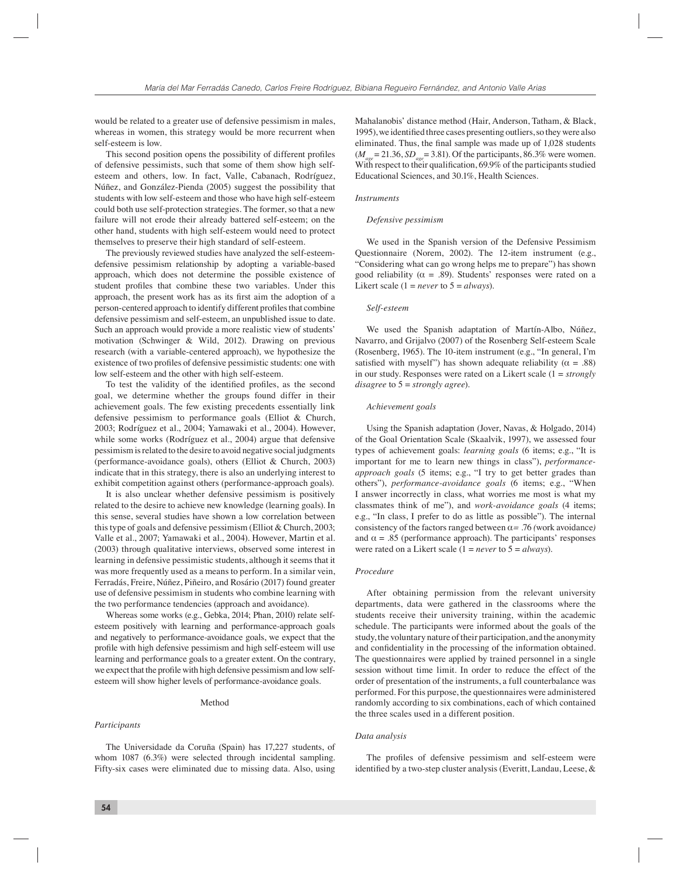would be related to a greater use of defensive pessimism in males, whereas in women, this strategy would be more recurrent when self-esteem is low.

This second position opens the possibility of different profiles of defensive pessimists, such that some of them show high selfesteem and others, low. In fact, Valle, Cabanach, Rodríguez, Núñez, and González-Pienda (2005) suggest the possibility that students with low self-esteem and those who have high self-esteem could both use self-protection strategies. The former, so that a new failure will not erode their already battered self-esteem; on the other hand, students with high self-esteem would need to protect themselves to preserve their high standard of self-esteem.

The previously reviewed studies have analyzed the self-esteemdefensive pessimism relationship by adopting a variable-based approach, which does not determine the possible existence of student profiles that combine these two variables. Under this approach, the present work has as its first aim the adoption of a person-centered approach to identify different profi les that combine defensive pessimism and self-esteem, an unpublished issue to date. Such an approach would provide a more realistic view of students' motivation (Schwinger & Wild, 2012). Drawing on previous research (with a variable-centered approach), we hypothesize the existence of two profiles of defensive pessimistic students: one with low self-esteem and the other with high self-esteem.

To test the validity of the identified profiles, as the second goal, we determine whether the groups found differ in their achievement goals. The few existing precedents essentially link defensive pessimism to performance goals (Elliot & Church, 2003; Rodríguez et al., 2004; Yamawaki et al., 2004). However, while some works (Rodríguez et al., 2004) argue that defensive pessimism is related to the desire to avoid negative social judgments (performance-avoidance goals), others (Elliot & Church, 2003) indicate that in this strategy, there is also an underlying interest to exhibit competition against others (performance-approach goals).

It is also unclear whether defensive pessimism is positively related to the desire to achieve new knowledge (learning goals). In this sense, several studies have shown a low correlation between this type of goals and defensive pessimism (Elliot & Church, 2003; Valle et al., 2007; Yamawaki et al., 2004). However, Martin et al. (2003) through qualitative interviews, observed some interest in learning in defensive pessimistic students, although it seems that it was more frequently used as a means to perform. In a similar vein, Ferradás, Freire, Núñez, Piñeiro, and Rosário (2017) found greater use of defensive pessimism in students who combine learning with the two performance tendencies (approach and avoidance).

Whereas some works (e.g., Gebka, 2014; Phan, 2010) relate selfesteem positively with learning and performance-approach goals and negatively to performance-avoidance goals, we expect that the profile with high defensive pessimism and high self-esteem will use learning and performance goals to a greater extent. On the contrary, we expect that the profile with high defensive pessimism and low selfesteem will show higher levels of performance-avoidance goals.

#### Method

#### *Participants*

Mahalanobis' distance method (Hair, Anderson, Tatham, & Black, 1995), we identified three cases presenting outliers, so they were also eliminated. Thus, the final sample was made up of 1,028 students ( $M_{\text{age}}$  = 21.36, *SD<sub>age</sub>* = 3.81). Of the participants, 86.3% were women. With respect to their qualification,  $69.9\%$  of the participants studied Educational Sciences, and 30.1%, Health Sciences.

#### *Instruments*

#### *Defensive pessimism*

We used in the Spanish version of the Defensive Pessimism Questionnaire (Norem, 2002). The 12-item instrument (e.g., "Considering what can go wrong helps me to prepare") has shown good reliability ( $\alpha = .89$ ). Students' responses were rated on a Likert scale  $(1 = never to 5 = always)$ .

### *Self-esteem*

We used the Spanish adaptation of Martín-Albo, Núñez, Navarro, and Grijalvo (2007) of the Rosenberg Self-esteem Scale (Rosenberg, 1965). The 10-item instrument (e.g., "In general, I'm satisfied with myself") has shown adequate reliability ( $\alpha = .88$ ) in our study. Responses were rated on a Likert scale (1 = *strongly disagree* to 5 = *strongly agree*).

#### *Achievement goals*

Using the Spanish adaptation (Jover, Navas, & Holgado, 2014) of the Goal Orientation Scale (Skaalvik, 1997), we assessed four types of achievement goals: *learning goals* (6 items; e.g., "It is important for me to learn new things in class"), *performanceapproach goals* (5 items; e.g., "I try to get better grades than others"), *performance-avoidance goals* (6 items; e.g., "When I answer incorrectly in class, what worries me most is what my classmates think of me"), and *work-avoidance goals* (4 items; e.g., "In class, I prefer to do as little as possible"). The internal consistency of the factors ranged between α*= .*76 *(*work avoidance*)*  and  $\alpha = .85$  (performance approach). The participants' responses were rated on a Likert scale (1 = *never* to 5 = *always*).

#### *Procedure*

After obtaining permission from the relevant university departments, data were gathered in the classrooms where the students receive their university training, within the academic schedule. The participants were informed about the goals of the study, the voluntary nature of their participation, and the anonymity and confidentiality in the processing of the information obtained. The questionnaires were applied by trained personnel in a single session without time limit. In order to reduce the effect of the order of presentation of the instruments, a full counterbalance was performed. For this purpose, the questionnaires were administered randomly according to six combinations, each of which contained the three scales used in a different position.

#### *Data analysis*

The profiles of defensive pessimism and self-esteem were identified by a two-step cluster analysis (Everitt, Landau, Leese,  $\&$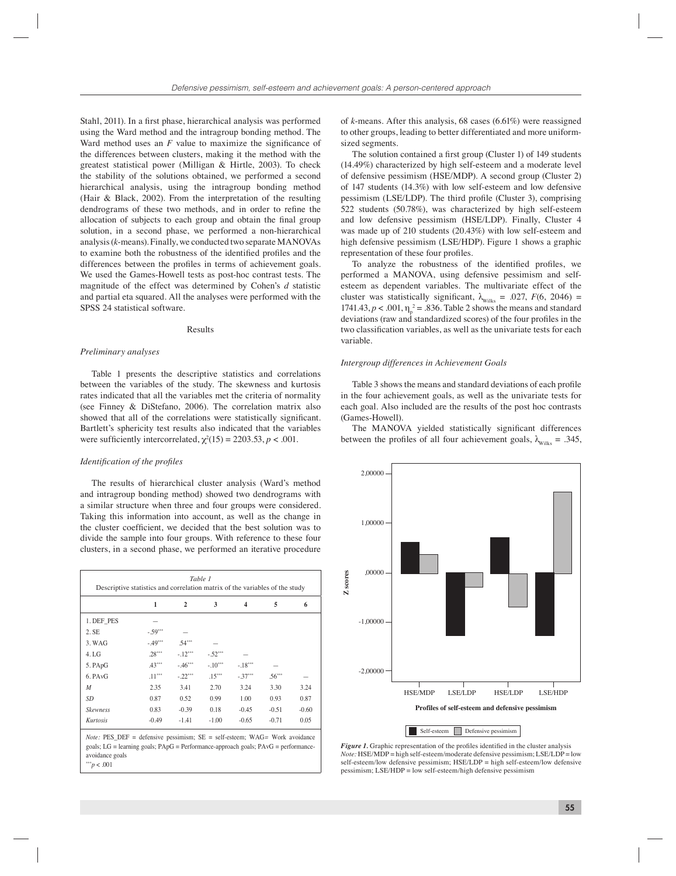Stahl, 2011). In a first phase, hierarchical analysis was performed using the Ward method and the intragroup bonding method. The Ward method uses an  $F$  value to maximize the significance of the differences between clusters, making it the method with the greatest statistical power (Milligan & Hirtle, 2003). To check the stability of the solutions obtained, we performed a second hierarchical analysis, using the intragroup bonding method (Hair & Black, 2002). From the interpretation of the resulting dendrograms of these two methods, and in order to refine the allocation of subjects to each group and obtain the final group solution, in a second phase, we performed a non-hierarchical analysis (*k*-means). Finally, we conducted two separate MANOVAs to examine both the robustness of the identified profiles and the differences between the profiles in terms of achievement goals. We used the Games-Howell tests as post-hoc contrast tests. The magnitude of the effect was determined by Cohen's *d* statistic and partial eta squared. All the analyses were performed with the SPSS 24 statistical software.

#### Results

#### *Preliminary analyses*

Table 1 presents the descriptive statistics and correlations between the variables of the study. The skewness and kurtosis rates indicated that all the variables met the criteria of normality (see Finney & DiStefano, 2006). The correlation matrix also showed that all of the correlations were statistically significant. Bartlett's sphericity test results also indicated that the variables were sufficiently intercorrelated,  $\chi^2(15) = 2203.53$ ,  $p < .001$ .

#### *Identification of the profiles*

The results of hierarchical cluster analysis (Ward's method and intragroup bonding method) showed two dendrograms with a similar structure when three and four groups were considered. Taking this information into account, as well as the change in the cluster coefficient, we decided that the best solution was to divide the sample into four groups. With reference to these four clusters, in a second phase, we performed an iterative procedure

|                  | 1         | $\mathbf{2}$ | 3         | 4         | 5        | 6       |
|------------------|-----------|--------------|-----------|-----------|----------|---------|
| 1. DEF PES       |           |              |           |           |          |         |
| 2. SE            | $-.59***$ |              |           |           |          |         |
| 3. WAG           | $-.49***$ | $.54***$     |           |           |          |         |
| 4.LG             | $.28***$  | $-.12***$    | $-.52***$ |           |          |         |
| 5. PApG          | $.43***$  | $-.46***$    | $-.10***$ | $-.18***$ |          |         |
| 6. PAvG          | $.11***$  | $-.22***$    | $.15***$  | $-37***$  | $.56***$ |         |
| $\boldsymbol{M}$ | 2.35      | 3.41         | 2.70      | 3.24      | 3.30     | 3.24    |
| SD <sub></sub>   | 0.87      | 0.52         | 0.99      | 1.00      | 0.93     | 0.87    |
| <b>Skewness</b>  | 0.83      | $-0.39$      | 0.18      | $-0.45$   | $-0.51$  | $-0.60$ |
| Kurtosis         | $-0.49$   | $-1.41$      | $-1.00$   | $-0.65$   | $-0.71$  | 0.05    |

 $p < .001$ 

of *k*-means. After this analysis, 68 cases (6.61%) were reassigned to other groups, leading to better differentiated and more uniformsized segments.

The solution contained a first group (Cluster 1) of 149 students (14.49%) characterized by high self-esteem and a moderate level of defensive pessimism (HSE/MDP). A second group (Cluster 2) of 147 students (14.3%) with low self-esteem and low defensive pessimism (LSE/LDP). The third profile (Cluster 3), comprising 522 students (50.78%), was characterized by high self-esteem and low defensive pessimism (HSE/LDP). Finally, Cluster 4 was made up of 210 students (20.43%) with low self-esteem and high defensive pessimism (LSE/HDP). Figure 1 shows a graphic representation of these four profiles.

To analyze the robustness of the identified profiles, we performed a MANOVA, using defensive pessimism and selfesteem as dependent variables. The multivariate effect of the cluster was statistically significant,  $\lambda_{\text{Wilks}} = .027$ ,  $F(6, 2046) =$ 1741.43,  $p < .001$ ,  $\eta_p^2 = .836$ . Table 2 shows the means and standard deviations (raw and standardized scores) of the four profiles in the two classification variables, as well as the univariate tests for each variable.

#### *Intergroup differences in Achievement Goals*

Table 3 shows the means and standard deviations of each profile in the four achievement goals, as well as the univariate tests for each goal. Also included are the results of the post hoc contrasts (Games-Howell).

The MANOVA yielded statistically significant differences between the profiles of all four achievement goals,  $\lambda_{\text{Wilks}} = .345$ ,



Figure 1. Graphic representation of the profiles identified in the cluster analysis *Note:* HSE/MDP = high self-esteem/moderate defensive pessimism; LSE/LDP = low self-esteem/low defensive pessimism; HSE/LDP = high self-esteem/low defensive pessimism; LSE/HDP = low self-esteem/high defensive pessimism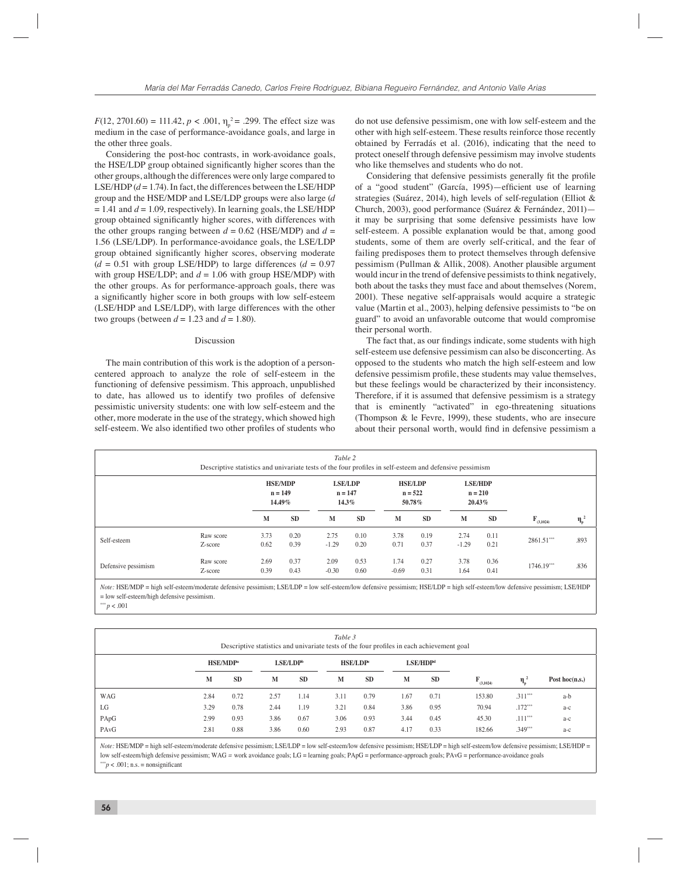$F(12, 2701.60) = 111.42, p < .001, \eta_p^2 = .299$ . The effect size was medium in the case of performance-avoidance goals, and large in the other three goals.

Considering the post-hoc contrasts, in work-avoidance goals, the HSE/LDP group obtained significantly higher scores than the other groups, although the differences were only large compared to LSE/HDP  $(d = 1.74)$ . In fact, the differences between the LSE/HDP group and the HSE/MDP and LSE/LDP groups were also large (*d*  $= 1.41$  and  $d = 1.09$ , respectively). In learning goals, the LSE/HDP group obtained significantly higher scores, with differences with the other groups ranging between  $d = 0.62$  (HSE/MDP) and  $d =$ 1.56 (LSE/LDP). In performance-avoidance goals, the LSE/LDP group obtained significantly higher scores, observing moderate  $(d = 0.51$  with group LSE/HDP) to large differences  $(d = 0.97)$ with group HSE/LDP; and  $d = 1.06$  with group HSE/MDP) with the other groups. As for performance-approach goals, there was a significantly higher score in both groups with low self-esteem (LSE/HDP and LSE/LDP), with large differences with the other two groups (between  $d = 1.23$  and  $d = 1.80$ ).

#### Discussion

The main contribution of this work is the adoption of a personcentered approach to analyze the role of self-esteem in the functioning of defensive pessimism. This approach, unpublished to date, has allowed us to identify two profiles of defensive pessimistic university students: one with low self-esteem and the other, more moderate in the use of the strategy, which showed high self-esteem. We also identified two other profiles of students who do not use defensive pessimism, one with low self-esteem and the other with high self-esteem. These results reinforce those recently obtained by Ferradás et al. (2016), indicating that the need to protect oneself through defensive pessimism may involve students who like themselves and students who do not.

Considering that defensive pessimists generally fit the profile of a "good student" (García, 1995)—efficient use of learning strategies (Suárez, 2014), high levels of self-regulation (Elliot & Church, 2003), good performance (Suárez & Fernández, 2011) it may be surprising that some defensive pessimists have low self-esteem. A possible explanation would be that, among good students, some of them are overly self-critical, and the fear of failing predisposes them to protect themselves through defensive pessimism (Pullman & Allik, 2008). Another plausible argument would incur in the trend of defensive pessimists to think negatively, both about the tasks they must face and about themselves (Norem, 2001). These negative self-appraisals would acquire a strategic value (Martin et al., 2003), helping defensive pessimists to "be on guard" to avoid an unfavorable outcome that would compromise their personal worth.

The fact that, as our findings indicate, some students with high self-esteem use defensive pessimism can also be disconcerting. As opposed to the students who match the high self-esteem and low defensive pessimism profile, these students may value themselves, but these feelings would be characterized by their inconsistency. Therefore, if it is assumed that defensive pessimism is a strategy that is eminently "activated" in ego-threatening situations (Thompson & le Fevre, 1999), these students, who are insecure about their personal worth, would find in defensive pessimism a

| Table 2<br>Descriptive statistics and univariate tests of the four profiles in self-esteem and defensive pessimism |                      |                                       |              |                                      |              |                                       |              |                                       |              |                |                  |
|--------------------------------------------------------------------------------------------------------------------|----------------------|---------------------------------------|--------------|--------------------------------------|--------------|---------------------------------------|--------------|---------------------------------------|--------------|----------------|------------------|
|                                                                                                                    |                      | <b>HSE/MDP</b><br>$n = 149$<br>14.49% |              | <b>LSE/LDP</b><br>$n = 147$<br>14.3% |              | <b>HSE/LDP</b><br>$n = 522$<br>50.78% |              | <b>LSE/HDP</b><br>$n = 210$<br>20.43% |              |                |                  |
|                                                                                                                    |                      | M                                     | <b>SD</b>    | M                                    | <b>SD</b>    | M                                     | <b>SD</b>    | M                                     | <b>SD</b>    | $F_{(3,1024)}$ | $\eta_{\rm p}^2$ |
| Self-esteem                                                                                                        | Raw score<br>Z-score | 3.73<br>0.62                          | 0.20<br>0.39 | 2.75<br>$-1.29$                      | 0.10<br>0.20 | 3.78<br>0.71                          | 0.19<br>0.37 | 2.74<br>$-1.29$                       | 0.11<br>0.21 | $2861.51***$   | .893             |
| Defensive pessimism                                                                                                | Raw score<br>Z-score | 2.69<br>0.39                          | 0.37<br>0.43 | 2.09<br>$-0.30$                      | 0.53<br>0.60 | 1.74<br>$-0.69$                       | 0.27<br>0.31 | 3.78<br>1.64                          | 0.36<br>0.41 | 1746.19***     | .836             |

*Note:* HSE/MDP = high self-esteem/moderate defensive pessimism; LSE/LDP = low self-esteem/low defensive pessimism; HSE/LDP = high self-esteem/low defensive pessimism; LSE/HDP  $=$  low self-esteem/high defensive pessimism.

 $p < .001$ 

| Table 3<br>Descriptive statistics and univariate tests of the four profiles in each achievement goal |                      |           |                      |           |                      |           |                      |           |                |                  |                    |
|------------------------------------------------------------------------------------------------------|----------------------|-----------|----------------------|-----------|----------------------|-----------|----------------------|-----------|----------------|------------------|--------------------|
|                                                                                                      | HSE/MDP <sup>a</sup> |           | LSE/LDP <sup>b</sup> |           | HSE/LDP <sup>c</sup> |           | LSE/HDP <sup>d</sup> |           |                |                  |                    |
|                                                                                                      | M                    | <b>SD</b> | M                    | <b>SD</b> | M                    | <b>SD</b> | M                    | <b>SD</b> | $F_{(3,1024)}$ | $\eta_{\rm b}^2$ | Post hoc( $n.s.$ ) |
| <b>WAG</b>                                                                                           | 2.84                 | 0.72      | 2.57                 | 1.14      | 3.11                 | 0.79      | 1.67                 | 0.71      | 153.80         | $.311***$        | a-b                |
| LG                                                                                                   | 3.29                 | 0.78      | 2.44                 | 1.19      | 3.21                 | 0.84      | 3.86                 | 0.95      | 70.94          | $.172***$        | $a-c$              |
| PApG                                                                                                 | 2.99                 | 0.93      | 3.86                 | 0.67      | 3.06                 | 0.93      | 3.44                 | 0.45      | 45.30          | $.111***$        | $a-c$              |
| PAvG                                                                                                 | 2.81                 | 0.88      | 3.86                 | 0.60      | 2.93                 | 0.87      | 4.17                 | 0.33      | 182.66         | $.349***$        | $a-c$              |

*Note:* HSE/MDP = high self-esteem/moderate defensive pessimism; LSE/LDP = low self-esteem/low defensive pessimism; HSE/LDP = high self-esteem/low defensive pessimism; LSE/HDP = low self-esteem/high defensive pessimism; WAG *=* work avoidance goals; LG = learning goals; PApG = performance-approach goals; PAvG = performance-avoidance goals  $**p < .001$ ; n.s. = nonsignificant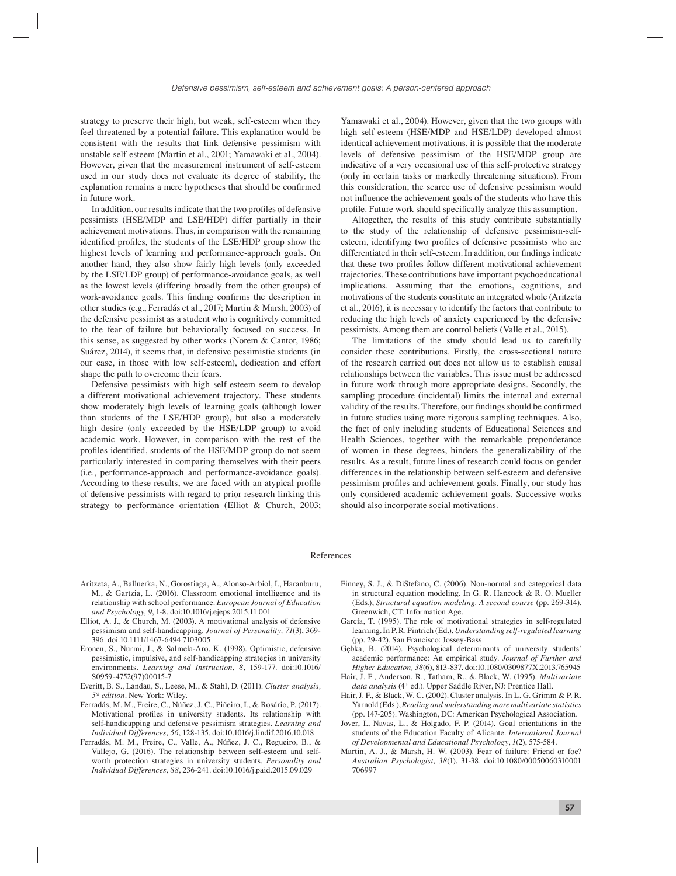strategy to preserve their high, but weak, self-esteem when they feel threatened by a potential failure. This explanation would be consistent with the results that link defensive pessimism with unstable self-esteem (Martin et al., 2001; Yamawaki et al., 2004). However, given that the measurement instrument of self-esteem used in our study does not evaluate its degree of stability, the explanation remains a mere hypotheses that should be confirmed in future work.

In addition, our results indicate that the two profiles of defensive pessimists (HSE/MDP and LSE/HDP) differ partially in their achievement motivations. Thus, in comparison with the remaining identified profiles, the students of the LSE/HDP group show the highest levels of learning and performance-approach goals. On another hand, they also show fairly high levels (only exceeded by the LSE/LDP group) of performance-avoidance goals, as well as the lowest levels (differing broadly from the other groups) of work-avoidance goals. This finding confirms the description in other studies (e.g., Ferradás et al., 2017; Martin & Marsh, 2003) of the defensive pessimist as a student who is cognitively committed to the fear of failure but behaviorally focused on success. In this sense, as suggested by other works (Norem & Cantor, 1986; Suárez, 2014), it seems that, in defensive pessimistic students (in our case, in those with low self-esteem), dedication and effort shape the path to overcome their fears.

Defensive pessimists with high self-esteem seem to develop a different motivational achievement trajectory. These students show moderately high levels of learning goals (although lower than students of the LSE/HDP group), but also a moderately high desire (only exceeded by the HSE/LDP group) to avoid academic work. However, in comparison with the rest of the profiles identified, students of the HSE/MDP group do not seem particularly interested in comparing themselves with their peers (i.e., performance-approach and performance-avoidance goals). According to these results, we are faced with an atypical profile of defensive pessimists with regard to prior research linking this strategy to performance orientation (Elliot & Church, 2003;

Yamawaki et al., 2004). However, given that the two groups with high self-esteem (HSE/MDP and HSE/LDP) developed almost identical achievement motivations, it is possible that the moderate levels of defensive pessimism of the HSE/MDP group are indicative of a very occasional use of this self-protective strategy (only in certain tasks or markedly threatening situations). From this consideration, the scarce use of defensive pessimism would not influence the achievement goals of the students who have this profile. Future work should specifically analyze this assumption.

Altogether, the results of this study contribute substantially to the study of the relationship of defensive pessimism-selfesteem, identifying two profiles of defensive pessimists who are differentiated in their self-esteem. In addition, our findings indicate that these two profiles follow different motivational achievement trajectories. These contributions have important psychoeducational implications. Assuming that the emotions, cognitions, and motivations of the students constitute an integrated whole (Aritzeta et al., 2016), it is necessary to identify the factors that contribute to reducing the high levels of anxiety experienced by the defensive pessimists. Among them are control beliefs (Valle et al., 2015).

The limitations of the study should lead us to carefully consider these contributions. Firstly, the cross-sectional nature of the research carried out does not allow us to establish causal relationships between the variables. This issue must be addressed in future work through more appropriate designs. Secondly, the sampling procedure (incidental) limits the internal and external validity of the results. Therefore, our findings should be confirmed in future studies using more rigorous sampling techniques. Also, the fact of only including students of Educational Sciences and Health Sciences, together with the remarkable preponderance of women in these degrees, hinders the generalizability of the results. As a result, future lines of research could focus on gender differences in the relationship between self-esteem and defensive pessimism profiles and achievement goals. Finally, our study has only considered academic achievement goals. Successive works should also incorporate social motivations.

#### References

- Aritzeta, A., Balluerka, N., Gorostiaga, A., Alonso-Arbiol, I., Haranburu, M., & Gartzia, L. (2016). Classroom emotional intelligence and its relationship with school performance. *European Journal of Education and Psychology, 9*, 1-8. doi:10.1016/j.ejeps.2015.11.001
- Elliot, A. J., & Church, M. (2003). A motivational analysis of defensive pessimism and self-handicapping. *Journal of Personality, 71*(3), 369- 396. doi:10.1111/1467-6494.7103005
- Eronen, S., Nurmi, J., & Salmela-Aro, K. (1998). Optimistic, defensive pessimistic, impulsive, and self-handicapping strategies in university environments. *Learning and Instruction, 8*, 159-177. doi:10.1016/ S0959-4752(97)00015-7
- Everitt, B. S., Landau, S., Leese, M., & Stahl, D. (2011). *Cluster analysis, 5th edition*. New York: Wiley.
- Ferradás, M. M., Freire, C., Núñez, J. C., Piñeiro, I., & Rosário, P. (2017). Motivational profiles in university students. Its relationship with self-handicapping and defensive pessimism strategies. *Learning and Individual Differences, 56*, 128-135. doi:10.1016/j.lindif.2016.10.018
- Ferradás, M. M., Freire, C., Valle, A., Núñez, J. C., Regueiro, B., & Vallejo, G. (2016). The relationship between self-esteem and selfworth protection strategies in university students. *Personality and Individual Differences, 88*, 236-241. doi:10.1016/j.paid.2015.09.029
- Finney, S. J., & DiStefano, C. (2006). Non-normal and categorical data in structural equation modeling. In G. R. Hancock & R. O. Mueller (Eds.), *Structural equation modeling. A second course* (pp. 269-314). Greenwich, CT: Information Age.
- García, T. (1995). The role of motivational strategies in self-regulated learning. In P. R. Pintrich (Ed.), *Understanding self-regulated learning* (pp. 29-42). San Francisco: Jossey-Bass.
- Gębka, B. (2014). Psychological determinants of university students' academic performance: An empirical study. *Journal of Further and Higher Education, 38*(6), 813-837. doi:10.1080/0309877X.2013.765945
- Hair, J. F., Anderson, R., Tatham, R., & Black, W. (1995). *Multivariate*  data analysis (4<sup>th</sup> ed.). Upper Saddle River, NJ: Prentice Hall.
- Hair, J. F., & Black, W. C. (2002). Cluster analysis. In L. G. Grimm & P. R. Yarnold (Eds.), *Reading and understanding more multivariate statistics* (pp. 147-205). Washington, DC: American Psychological Association.
- Jover, I., Navas, L., & Holgado, F. P. (2014). Goal orientations in the students of the Education Faculty of Alicante. *International Journal of Developmental and Educational Psychology*, *1*(2), 575-584.
- Martin, A. J., & Marsh, H. W. (2003). Fear of failure: Friend or foe? *Australian Psychologist, 38*(1), 31-38. doi:10.1080/00050060310001 706997